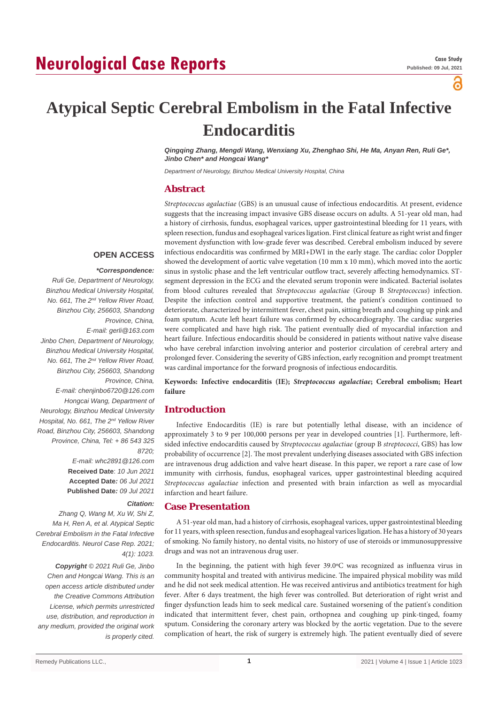# **Neurological Case Reports**

ဥ

# **Atypical Septic Cerebral Embolism in the Fatal Infective Endocarditis**

*Qingqing Zhang, Mengdi Wang, Wenxiang Xu, Zhenghao Shi, He Ma, Anyan Ren, Ruli Ge\*, Jinbo Chen\* and Hongcai Wang\**

*Department of Neurology, Binzhou Medical University Hospital, China*

## **Abstract**

*Streptococcus agalactiae* (GBS) is an unusual cause of infectious endocarditis. At present, evidence suggests that the increasing impact invasive GBS disease occurs on adults. A 51-year old man, had a history of cirrhosis, fundus, esophageal varices, upper gastrointestinal bleeding for 11 years, with spleen resection, fundus and esophageal varices ligation. First clinical feature as right wrist and finger movement dysfunction with low-grade fever was described. Cerebral embolism induced by severe infectious endocarditis was confirmed by MRI+DWI in the early stage. The cardiac color Doppler showed the development of aortic valve vegetation (10 mm x 10 mm), which moved into the aortic sinus in systolic phase and the left ventricular outflow tract, severely affecting hemodynamics. STsegment depression in the ECG and the elevated serum troponin were indicated. Bacterial isolates from blood cultures revealed that *Streptococcus agalactiae* (Group B *Streptococcus*) infection. Despite the infection control and supportive treatment, the patient's condition continued to deteriorate, characterized by intermittent fever, chest pain, sitting breath and coughing up pink and foam sputum. Acute left heart failure was confirmed by echocardiography. The cardiac surgeries were complicated and have high risk. The patient eventually died of myocardial infarction and heart failure. Infectious endocarditis should be considered in patients without native valve disease who have cerebral infarction involving anterior and posterior circulation of cerebral artery and prolonged fever. Considering the severity of GBS infection, early recognition and prompt treatment was cardinal importance for the forward prognosis of infectious endocarditis.

**Keywords: Infective endocarditis (IE);** *Streptococcus agalactiae***; Cerebral embolism; Heart failure**

## **Introduction**

Infective Endocarditis (IE) is rare but potentially lethal disease, with an incidence of approximately 3 to 9 per 100,000 persons per year in developed countries [1]. Furthermore, leftsided infective endocarditis caused by *Streptococcus agalactiae* (group B *streptococci*, GBS) has low probability of occurrence [2]. The most prevalent underlying diseases associated with GBS infection are intravenous drug addiction and valve heart disease. In this paper, we report a rare case of low immunity with cirrhosis, fundus, esophageal varices, upper gastrointestinal bleeding acquired *Streptococcus agalactiae* infection and presented with brain infarction as well as myocardial infarction and heart failure.

## **Case Presentation**

A 51-year old man, had a history of cirrhosis, esophageal varices, upper gastrointestinal bleeding for 11 years, with spleen resection, fundus and esophageal varices ligation. He has a history of 30 years of smoking. No family history, no dental visits, no history of use of steroids or immunosuppressive drugs and was not an intravenous drug user.

In the beginning, the patient with high fever 39.0ºC was recognized as influenza virus in community hospital and treated with antivirus medicine. The impaired physical mobility was mild and he did not seek medical attention. He was received antivirus and antibiotics treatment for high fever. After 6 days treatment, the high fever was controlled. But deterioration of right wrist and finger dysfunction leads him to seek medical care. Sustained worsening of the patient's condition indicated that intermittent fever, chest pain, orthopnea and coughing up pink-tinged, foamy sputum. Considering the coronary artery was blocked by the aortic vegetation. Due to the severe complication of heart, the risk of surgery is extremely high. The patient eventually died of severe

### **OPEN ACCESS**

## *\*Correspondence:*

*Ruli Ge, Department of Neurology, Binzhou Medical University Hospital, No. 661, The 2nd Yellow River Road, Binzhou City, 256603, Shandong Province, China, E-mail: gerli@163.com Jinbo Chen, Department of Neurology, Binzhou Medical University Hospital, No. 661, The 2nd Yellow River Road, Binzhou City, 256603, Shandong Province, China, E-mail: chenjinbo6720@126.com Hongcai Wang, Department of Neurology, Binzhou Medical University Hospital, No. 661, The 2nd Yellow River Road, Binzhou City, 256603, Shandong Province, China, Tel: + 86 543 325 8720; E-mail: whc2891@126.com* **Received Date**: *10 Jun 2021*

**Accepted Date***: 06 Jul 2021* **Published Date***: 09 Jul 2021*

### *Citation:*

*Zhang Q, Wang M, Xu W, Shi Z, Ma H, Ren A, et al. Atypical Septic Cerebral Embolism in the Fatal Infective Endocarditis. Neurol Case Rep. 2021; 4(1): 1023.*

*Copyright © 2021 Ruli Ge, Jinbo Chen and Hongcai Wang. This is an open access article distributed under the Creative Commons Attribution License, which permits unrestricted use, distribution, and reproduction in any medium, provided the original work is properly cited.*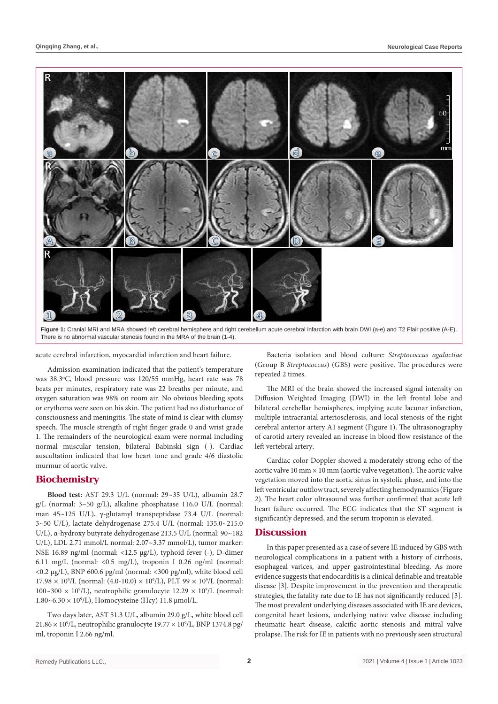

There is no abnormal vascular stenosis found in the MRA of the brain (1-4).

acute cerebral infarction, myocardial infarction and heart failure.

Admission examination indicated that the patient's temperature was 38.3ºC, blood pressure was 120/55 mmHg, heart rate was 78 beats per minutes, respiratory rate was 22 breaths per minute, and oxygen saturation was 98% on room air. No obvious bleeding spots or erythema were seen on his skin. The patient had no disturbance of consciousness and meningitis. The state of mind is clear with clumsy speech. The muscle strength of right finger grade 0 and wrist grade 1. The remainders of the neurological exam were normal including normal muscular tension, bilateral Babinski sign (-). Cardiac auscultation indicated that low heart tone and grade 4/6 diastolic murmur of aortic valve.

## **Biochemistry**

**Blood test:** AST 29.3 U/L (normal: 29~35 U/L), albumin 28.7 g/L (normal: 3~50 g/L), alkaline phosphatase 116.0 U/L (normal: man 45~125 U/L), γ-glutamyl transpeptidase 73.4 U/L (normal: 3~50 U/L), lactate dehydrogenase 275.4 U/L (normal: 135.0~215.0 U/L), α-hydroxy butyrate dehydrogenase 213.5 U/L (normal: 90~182 U/L), LDL 2.71 mmol/L normal: 2.07~3.37 mmol/L), tumor marker: NSE 16.89 ng/ml (normal: <12.5 μg/L), typhoid fever (-), D-dimer 6.11 mg/L (normal: <0.5 mg/L), troponin I 0.26 ng/ml (normal: <0.2 µg/L), BNP 600.6 pg/ml (normal: <300 pg/ml), white blood cell  $17.98 \times 10^9$ /L (normal: (4.0-10.0)  $\times 10^9$ /L), PLT 99  $\times 10^9$ /L (normal: 100~300  $\times$  10<sup>9</sup>/L), neutrophilic granulocyte 12.29  $\times$  10<sup>9</sup>/L (normal:  $1.80~6.30 \times 10^9$ /L), Homocysteine (Hcy) 11.8 µmol/L.

Two days later, AST 51.3 U/L, albumin 29.0 g/L, white blood cell  $21.86 \times 10^9$ /L, neutrophilic granulocyte  $19.77 \times 10^9$ /L, BNP 1374.8 pg/ ml, troponin I 2.66 ng/ml.

Bacteria isolation and blood culture: *Streptococcus agalactiae* (Group B *Streptococcus*) (GBS) were positive. The procedures were repeated 2 times.

The MRI of the brain showed the increased signal intensity on Diffusion Weighted Imaging (DWI) in the left frontal lobe and bilateral cerebellar hemispheres, implying acute lacunar infarction, multiple intracranial arteriosclerosis, and local stenosis of the right cerebral anterior artery A1 segment (Figure 1). The ultrasonography of carotid artery revealed an increase in blood flow resistance of the left vertebral artery.

Cardiac color Doppler showed a moderately strong echo of the aortic valve  $10$  mm  $\times$   $10$  mm (aortic valve vegetation). The aortic valve vegetation moved into the aortic sinus in systolic phase, and into the left ventricular outflow tract, severely affecting hemodynamics (Figure 2). The heart color ultrasound was further confirmed that acute left heart failure occurred. The ECG indicates that the ST segment is significantly depressed, and the serum troponin is elevated.

#### **Discussion**

In this paper presented as a case of severe IE induced by GBS with neurological complications in a patient with a history of cirrhosis, esophageal varices, and upper gastrointestinal bleeding. As more evidence suggests that endocarditis is a clinical definable and treatable disease [3]. Despite improvement in the prevention and therapeutic strategies, the fatality rate due to IE has not significantly reduced [3]. The most prevalent underlying diseases associated with IE are devices, congenital heart lesions, underlying native valve disease including rheumatic heart disease, calcific aortic stenosis and mitral valve prolapse. The risk for IE in patients with no previously seen structural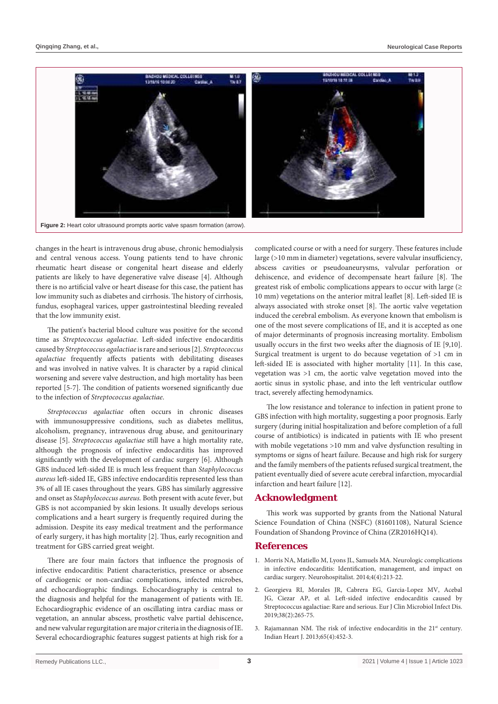

changes in the heart is intravenous drug abuse, chronic hemodialysis and central venous access. Young patients tend to have chronic rheumatic heart disease or congenital heart disease and elderly patients are likely to have degenerative valve disease [4]. Although there is no artificial valve or heart disease for this case, the patient has low immunity such as diabetes and cirrhosis. The history of cirrhosis, fundus, esophageal varices, upper gastrointestinal bleeding revealed that the low immunity exist.

The patient's bacterial blood culture was positive for the second time as *Streptococcus agalactiae.* Left-sided infective endocarditis caused by *Streptococcus agalactiae* is rare and serious [2]. *Streptococcus agalactiae* frequently affects patients with debilitating diseases and was involved in native valves. It is character by a rapid clinical worsening and severe valve destruction, and high mortality has been reported [5-7]. The condition of patients worsened significantly due to the infection of *Streptococcus agalactiae*.

*Streptococcus agalactiae* often occurs in chronic diseases with immunosuppressive conditions, such as diabetes mellitus, alcoholism, pregnancy, intravenous drug abuse, and genitourinary disease [5]. *Streptococcus agalactiae* still have a high mortality rate, although the prognosis of infective endocarditis has improved significantly with the development of cardiac surgery [6]. Although GBS induced left-sided IE is much less frequent than *Staphylococcus aureus* left-sided IE, GBS infective endocarditis represented less than 3% of all IE cases throughout the years. GBS has similarly aggressive and onset as *Staphylococcus aureus.* Both present with acute fever, but GBS is not accompanied by skin lesions. It usually develops serious complications and a heart surgery is frequently required during the admission. Despite its easy medical treatment and the performance of early surgery, it has high mortality [2]. Thus, early recognition and treatment for GBS carried great weight.

There are four main factors that influence the prognosis of infective endocarditis: Patient characteristics, presence or absence of cardiogenic or non-cardiac complications, infected microbes, and echocardiographic findings. Echocardiography is central to the diagnosis and helpful for the management of patients with IE. Echocardiographic evidence of an oscillating intra cardiac mass or vegetation, an annular abscess, prosthetic valve partial dehiscence, and new valvular regurgitation are major criteria in the diagnosis of IE. Several echocardiographic features suggest patients at high risk for a complicated course or with a need for surgery. These features include large (>10 mm in diameter) vegetations, severe valvular insufficiency, abscess cavities or pseudoaneurysms, valvular perforation or dehiscence, and evidence of decompensate heart failure [8]. The greatest risk of embolic complications appears to occur with large (≥ 10 mm) vegetations on the anterior mitral leaflet [8]. Left-sided IE is always associated with stroke onset [8]. The aortic valve vegetation induced the cerebral embolism. As everyone known that embolism is one of the most severe complications of IE, and it is accepted as one of major determinants of prognosis increasing mortality. Embolism usually occurs in the first two weeks after the diagnosis of IE [9,10]. Surgical treatment is urgent to do because vegetation of >1 cm in left-sided IE is associated with higher mortality [11]. In this case, vegetation was >1 cm, the aortic valve vegetation moved into the aortic sinus in systolic phase, and into the left ventricular outflow tract, severely affecting hemodynamics.

The low resistance and tolerance to infection in patient prone to GBS infection with high mortality, suggesting a poor prognosis. Early surgery (during initial hospitalization and before completion of a full course of antibiotics) is indicated in patients with IE who present with mobile vegetations >10 mm and valve dysfunction resulting in symptoms or signs of heart failure. Because and high risk for surgery and the family members of the patients refused surgical treatment, the patient eventually died of severe acute cerebral infarction, myocardial infarction and heart failure [12].

#### **Acknowledgment**

This work was supported by grants from the National Natural Science Foundation of China (NSFC) (81601108), Natural Science Foundation of Shandong Province of China (ZR2016HQ14).

#### **References**

- 1. [Morris NA, Matiello M, Lyons JL, Samuels MA. Neurologic complications](https://pubmed.ncbi.nlm.nih.gov/25360207/)  [in infective endocarditis: Identification, management, and impact on](https://pubmed.ncbi.nlm.nih.gov/25360207/)  [cardiac surgery. Neurohospitalist. 2014;4\(4\):213-22.](https://pubmed.ncbi.nlm.nih.gov/25360207/)
- 2. [Georgieva RI, Morales JR, Cabrera EG, Garcia-Lopez MV, Acebal](https://pubmed.ncbi.nlm.nih.gov/30430377/)  [JG, Ciezar AP, et al. Left-sided infective endocarditis caused by](https://pubmed.ncbi.nlm.nih.gov/30430377/)  [Streptococcus agalactiae: Rare and serious. Eur J Clin Microbiol Infect Dis.](https://pubmed.ncbi.nlm.nih.gov/30430377/)  [2019;38\(2\):265-75.](https://pubmed.ncbi.nlm.nih.gov/30430377/)
- 3. Rajamannan NM. The risk of infective endocarditis in the 21<sup>st</sup> century. [Indian Heart J. 2013;65\(4\):452-3.](https://pubmed.ncbi.nlm.nih.gov/23993008/)